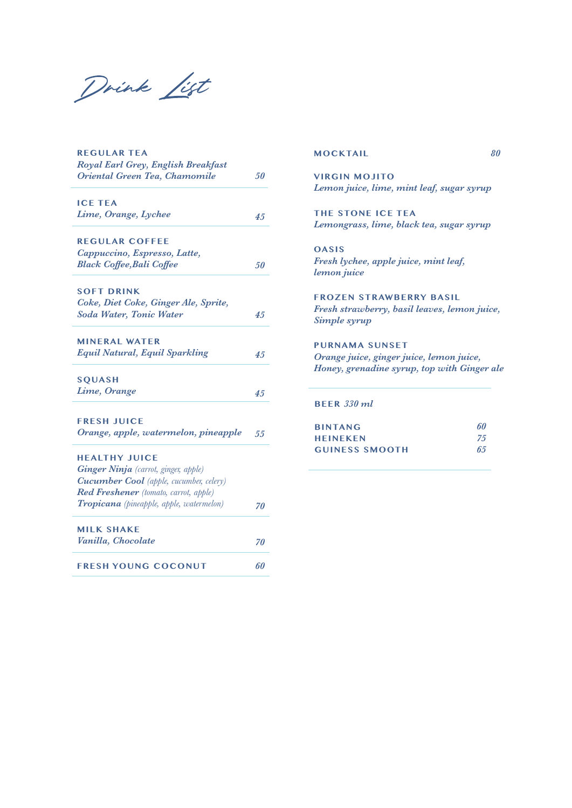Drink List

| <b>REGULAR TEA</b><br>Royal Earl Grey, English Breakfast |     |
|----------------------------------------------------------|-----|
| Oriental Green Tea, Chamomile                            | 50  |
|                                                          |     |
| <b>ICE TEA</b>                                           |     |
| Lime, Orange, Lychee                                     | 45  |
| <b>REGULAR COFFEE</b>                                    |     |
| Cappuccino, Espresso, Latte,                             |     |
| <b>Black Coffee, Bali Coffee</b>                         | 50  |
|                                                          |     |
| <b>SOFT DRINK</b>                                        |     |
| Coke, Diet Coke, Ginger Ale, Sprite,                     |     |
| <b>Soda Water, Tonic Water</b>                           | 4.5 |
|                                                          |     |
| <b>MINERAL WATER</b>                                     |     |
| <b>Equil Natural, Equil Sparkling</b>                    | 4.5 |
|                                                          |     |
| <b>SQUASH</b>                                            |     |
| Lime, Orange                                             | 4.5 |
|                                                          |     |
| <b>FRESH JUICE</b>                                       |     |
| Orange, apple, watermelon, pineapple                     | 55  |
| <b>HEALTHY JUICE</b>                                     |     |
| Ginger Ninja (carrot, ginger, apple)                     |     |
| <b>Cucumber Cool</b> (apple, cucumber, celery)           |     |
| Red Freshener (tomato, carrot, apple)                    |     |
| <b>Tropicana</b> (pineapple, apple, watermelon)          | 70  |
|                                                          |     |
| <b>MILK SHAKE</b>                                        |     |
| Vanilla, Chocolate                                       | 70  |
|                                                          |     |
| <b>FRESH YOUNG COCONUT</b>                               | 60  |

**MOCKTAIL**

*80*

**VIRGIN MOJITO** *Lemon juice, lime, mint leaf, sugar syrup*

**THE STONE ICE TEA** *Lemongrass, lime, black tea, sugar syrup*

**OASIS** *Fresh lychee, apple juice, mint leaf, lemon juice*

**FROZEN STRAWBERRY BASIL** *Fresh strawberry, basil leaves, lemon juice, Simple syrup*

**PURNAMA SUNSET** *Orange juice, ginger juice, lemon juice, Honey, grenadine syrup, top with Ginger ale*

**BEER** *330 ml*

| <b>BINTANG</b>        | 60  |
|-----------------------|-----|
| <b>HEINEKEN</b>       | -75 |
| <b>GUINESS SMOOTH</b> | 65  |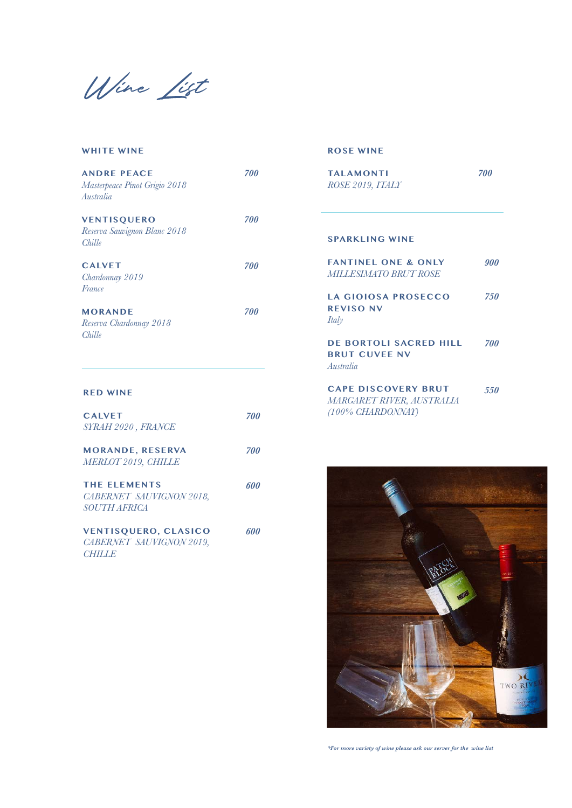Wine List

| <b>WHITE WINE</b>                                                |     |
|------------------------------------------------------------------|-----|
| <b>ANDRE PEACE</b><br>Masterpeace Pinot Grigio 2018<br>Australia | 700 |
| <b>VENTISQUERO</b><br>Reserva Sauvignon Blanc 2018<br>Chille     | 700 |
| <b>CALVET</b><br>Chardonnay 2019<br>France                       | 700 |
| <b>MORANDE</b><br>Reserva Chardonnay 2018<br>Chille              | 700 |
| <b>RED WINE</b>                                                  |     |

| <b>CAIVET</b><br>SYRAH 2020, FRANCE                                      | 700 |
|--------------------------------------------------------------------------|-----|
| <b>MORANDE, RESERVA</b><br><b>MERLOT 2019, CHILLE</b>                    | 700 |
| <b>THE FLEMENTS</b><br>CABERNET SAUVIGNON 2018,<br><i>SOUTH AFRICA</i>   | 601 |
| <b>VENTISQUERO, CLASICO</b><br>CABERNET SAUVIGNON 2019,<br><b>CHILLE</b> | 600 |

**ROSE WINE**

| <b>TAI AMONTI</b><br>ROSE 2019, ITALY                                        | 700        |
|------------------------------------------------------------------------------|------------|
| <b>SPARKLING WINE</b>                                                        |            |
| <b>FANTINEL ONE &amp; ONLY</b><br><b>MILLESIMATO BRUT ROSE</b>               | 900        |
| <b>LA GIOIOSA PROSECCO</b><br><b>REVISO NV</b><br><b>Italy</b>               | 7.50       |
| <b>DE BORTOLI SACRED HILL</b><br><b>BRUT CUVEE NV</b><br>Australia           | <b>700</b> |
| <b>CAPE DISCOVERY BRUT</b><br>MARGARET RIVER, AUSTRALIA<br>(100% CHARDONNAY) | 550        |



*\*For more variety of wine please ask our server for the wine list*